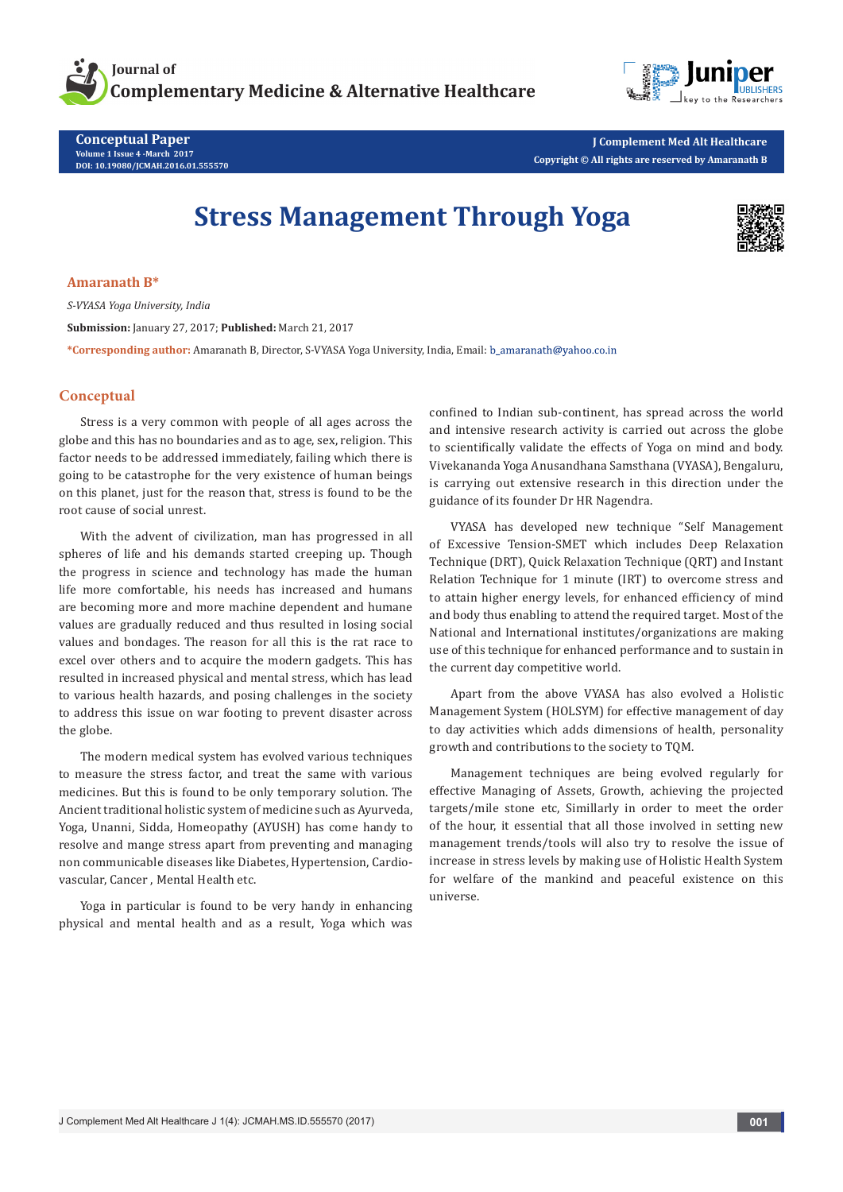



**Conceptual Paper Volume 1 Issue 4 -March 2017 DOI: [10.19080/JCMAH.2016.01.555570](http://dx.doi.org/10.19080/JCMAH.2016.01.555570
)**

**J Complement Med Alt Healthcare Copyright © All rights are reserved by Amaranath B**

## **Stress Management Through Yoga**



**Amaranath B\***

*S-VYASA Yoga University, India* **Submission:** January 27, 2017; **Published:** March 21, 2017 **\*Corresponding author:** Amaranath B, Director, S-VYASA Yoga University, India, Email:

## **Conceptual**

Stress is a very common with people of all ages across the globe and this has no boundaries and as to age, sex, religion. This factor needs to be addressed immediately, failing which there is going to be catastrophe for the very existence of human beings on this planet, just for the reason that, stress is found to be the root cause of social unrest.

With the advent of civilization, man has progressed in all spheres of life and his demands started creeping up. Though the progress in science and technology has made the human life more comfortable, his needs has increased and humans are becoming more and more machine dependent and humane values are gradually reduced and thus resulted in losing social values and bondages. The reason for all this is the rat race to excel over others and to acquire the modern gadgets. This has resulted in increased physical and mental stress, which has lead to various health hazards, and posing challenges in the society to address this issue on war footing to prevent disaster across the globe.

The modern medical system has evolved various techniques to measure the stress factor, and treat the same with various medicines. But this is found to be only temporary solution. The Ancient traditional holistic system of medicine such as Ayurveda, Yoga, Unanni, Sidda, Homeopathy (AYUSH) has come handy to resolve and mange stress apart from preventing and managing non communicable diseases like Diabetes, Hypertension, Cardiovascular, Cancer , Mental Health etc.

Yoga in particular is found to be very handy in enhancing physical and mental health and as a result, Yoga which was

confined to Indian sub-continent, has spread across the world and intensive research activity is carried out across the globe to scientifically validate the effects of Yoga on mind and body. Vivekananda Yoga Anusandhana Samsthana (VYASA), Bengaluru, is carrying out extensive research in this direction under the guidance of its founder Dr HR Nagendra.

VYASA has developed new technique "Self Management of Excessive Tension-SMET which includes Deep Relaxation Technique (DRT), Quick Relaxation Technique (QRT) and Instant Relation Technique for 1 minute (IRT) to overcome stress and to attain higher energy levels, for enhanced efficiency of mind and body thus enabling to attend the required target. Most of the National and International institutes/organizations are making use of this technique for enhanced performance and to sustain in the current day competitive world.

Apart from the above VYASA has also evolved a Holistic Management System (HOLSYM) for effective management of day to day activities which adds dimensions of health, personality growth and contributions to the society to TQM.

Management techniques are being evolved regularly for effective Managing of Assets, Growth, achieving the projected targets/mile stone etc, Simillarly in order to meet the order of the hour, it essential that all those involved in setting new management trends/tools will also try to resolve the issue of increase in stress levels by making use of Holistic Health System for welfare of the mankind and peaceful existence on this universe.